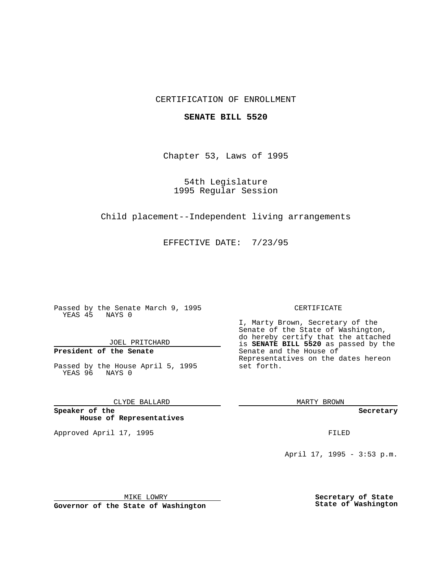# CERTIFICATION OF ENROLLMENT

## **SENATE BILL 5520**

Chapter 53, Laws of 1995

54th Legislature 1995 Regular Session

Child placement--Independent living arrangements

EFFECTIVE DATE: 7/23/95

Passed by the Senate March 9, 1995 YEAS 45 NAYS 0

JOEL PRITCHARD

# **President of the Senate**

Passed by the House April 5, 1995 YEAS 96 NAYS 0

CLYDE BALLARD

**Speaker of the House of Representatives**

Approved April 17, 1995 **FILED** 

#### CERTIFICATE

I, Marty Brown, Secretary of the Senate of the State of Washington, do hereby certify that the attached is **SENATE BILL 5520** as passed by the Senate and the House of Representatives on the dates hereon set forth.

MARTY BROWN

**Secretary**

April 17, 1995 - 3:53 p.m.

MIKE LOWRY

**Governor of the State of Washington**

**Secretary of State State of Washington**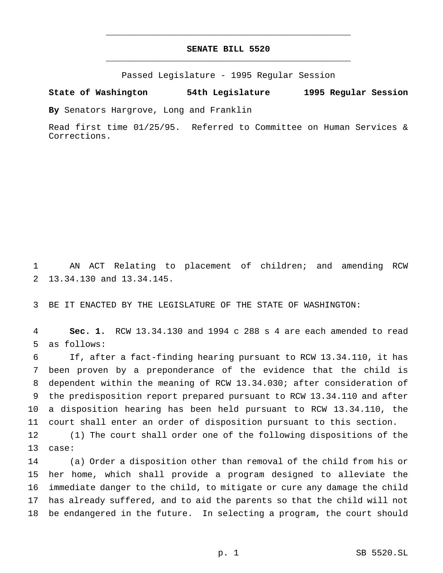# **SENATE BILL 5520** \_\_\_\_\_\_\_\_\_\_\_\_\_\_\_\_\_\_\_\_\_\_\_\_\_\_\_\_\_\_\_\_\_\_\_\_\_\_\_\_\_\_\_\_\_\_\_

\_\_\_\_\_\_\_\_\_\_\_\_\_\_\_\_\_\_\_\_\_\_\_\_\_\_\_\_\_\_\_\_\_\_\_\_\_\_\_\_\_\_\_\_\_\_\_

Passed Legislature - 1995 Regular Session

### **State of Washington 54th Legislature 1995 Regular Session**

**By** Senators Hargrove, Long and Franklin

Read first time 01/25/95. Referred to Committee on Human Services & Corrections.

 AN ACT Relating to placement of children; and amending RCW 13.34.130 and 13.34.145.

BE IT ENACTED BY THE LEGISLATURE OF THE STATE OF WASHINGTON:

 **Sec. 1.** RCW 13.34.130 and 1994 c 288 s 4 are each amended to read as follows:

 If, after a fact-finding hearing pursuant to RCW 13.34.110, it has been proven by a preponderance of the evidence that the child is dependent within the meaning of RCW 13.34.030; after consideration of the predisposition report prepared pursuant to RCW 13.34.110 and after a disposition hearing has been held pursuant to RCW 13.34.110, the court shall enter an order of disposition pursuant to this section.

 (1) The court shall order one of the following dispositions of the case:

 (a) Order a disposition other than removal of the child from his or her home, which shall provide a program designed to alleviate the immediate danger to the child, to mitigate or cure any damage the child has already suffered, and to aid the parents so that the child will not be endangered in the future. In selecting a program, the court should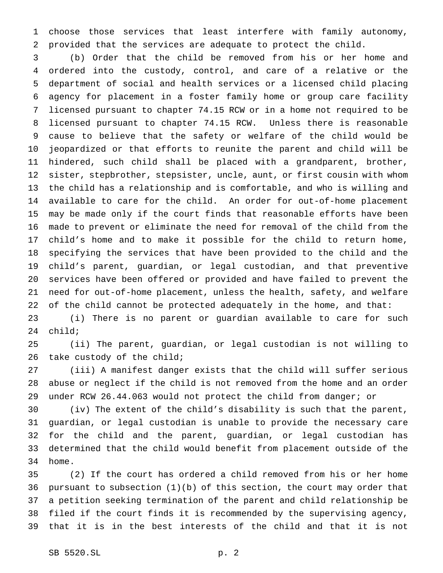choose those services that least interfere with family autonomy, provided that the services are adequate to protect the child.

 (b) Order that the child be removed from his or her home and ordered into the custody, control, and care of a relative or the department of social and health services or a licensed child placing agency for placement in a foster family home or group care facility licensed pursuant to chapter 74.15 RCW or in a home not required to be licensed pursuant to chapter 74.15 RCW. Unless there is reasonable cause to believe that the safety or welfare of the child would be jeopardized or that efforts to reunite the parent and child will be hindered, such child shall be placed with a grandparent, brother, sister, stepbrother, stepsister, uncle, aunt, or first cousin with whom the child has a relationship and is comfortable, and who is willing and available to care for the child. An order for out-of-home placement may be made only if the court finds that reasonable efforts have been made to prevent or eliminate the need for removal of the child from the child's home and to make it possible for the child to return home, specifying the services that have been provided to the child and the child's parent, guardian, or legal custodian, and that preventive services have been offered or provided and have failed to prevent the need for out-of-home placement, unless the health, safety, and welfare of the child cannot be protected adequately in the home, and that:

 (i) There is no parent or guardian available to care for such child;

 (ii) The parent, guardian, or legal custodian is not willing to 26 take custody of the child;

 (iii) A manifest danger exists that the child will suffer serious abuse or neglect if the child is not removed from the home and an order under RCW 26.44.063 would not protect the child from danger; or

 (iv) The extent of the child's disability is such that the parent, guardian, or legal custodian is unable to provide the necessary care for the child and the parent, guardian, or legal custodian has determined that the child would benefit from placement outside of the home.

 (2) If the court has ordered a child removed from his or her home pursuant to subsection (1)(b) of this section, the court may order that a petition seeking termination of the parent and child relationship be filed if the court finds it is recommended by the supervising agency, that it is in the best interests of the child and that it is not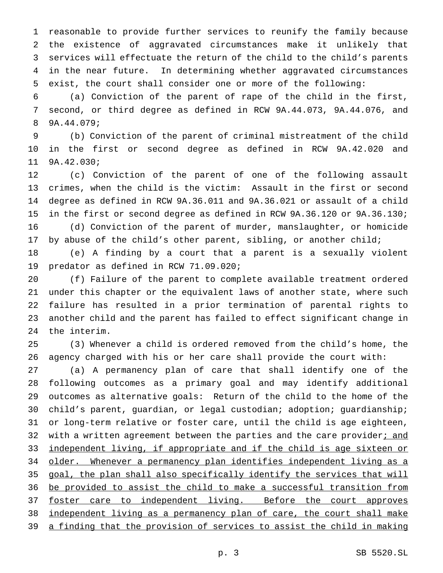reasonable to provide further services to reunify the family because the existence of aggravated circumstances make it unlikely that services will effectuate the return of the child to the child's parents in the near future. In determining whether aggravated circumstances exist, the court shall consider one or more of the following:

 (a) Conviction of the parent of rape of the child in the first, second, or third degree as defined in RCW 9A.44.073, 9A.44.076, and 9A.44.079;

 (b) Conviction of the parent of criminal mistreatment of the child in the first or second degree as defined in RCW 9A.42.020 and 9A.42.030;

 (c) Conviction of the parent of one of the following assault crimes, when the child is the victim: Assault in the first or second degree as defined in RCW 9A.36.011 and 9A.36.021 or assault of a child in the first or second degree as defined in RCW 9A.36.120 or 9A.36.130; (d) Conviction of the parent of murder, manslaughter, or homicide 17 by abuse of the child's other parent, sibling, or another child;

 (e) A finding by a court that a parent is a sexually violent predator as defined in RCW 71.09.020;

 (f) Failure of the parent to complete available treatment ordered under this chapter or the equivalent laws of another state, where such failure has resulted in a prior termination of parental rights to another child and the parent has failed to effect significant change in the interim.

 (3) Whenever a child is ordered removed from the child's home, the agency charged with his or her care shall provide the court with:

 (a) A permanency plan of care that shall identify one of the following outcomes as a primary goal and may identify additional outcomes as alternative goals: Return of the child to the home of the child's parent, guardian, or legal custodian; adoption; guardianship; or long-term relative or foster care, until the child is age eighteen, 32 with a written agreement between the parties and the care provider; and independent living, if appropriate and if the child is age sixteen or 34 older. Whenever a permanency plan identifies independent living as a goal, the plan shall also specifically identify the services that will be provided to assist the child to make a successful transition from 37 foster care to independent living. Before the court approves 38 independent living as a permanency plan of care, the court shall make 39 a finding that the provision of services to assist the child in making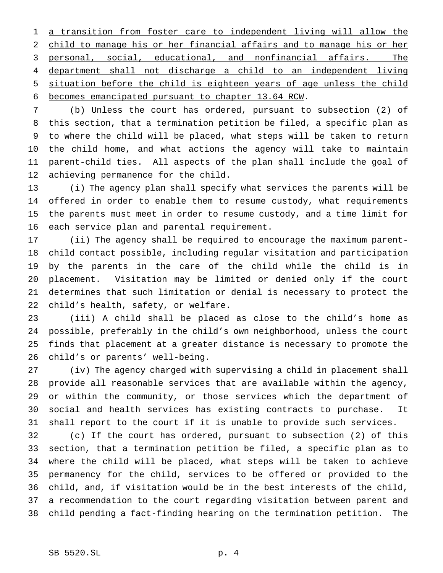a transition from foster care to independent living will allow the 2 child to manage his or her financial affairs and to manage his or her personal, social, educational, and nonfinancial affairs. The department shall not discharge a child to an independent living situation before the child is eighteen years of age unless the child becomes emancipated pursuant to chapter 13.64 RCW.

 (b) Unless the court has ordered, pursuant to subsection (2) of this section, that a termination petition be filed, a specific plan as to where the child will be placed, what steps will be taken to return the child home, and what actions the agency will take to maintain parent-child ties. All aspects of the plan shall include the goal of achieving permanence for the child.

 (i) The agency plan shall specify what services the parents will be offered in order to enable them to resume custody, what requirements the parents must meet in order to resume custody, and a time limit for each service plan and parental requirement.

 (ii) The agency shall be required to encourage the maximum parent- child contact possible, including regular visitation and participation by the parents in the care of the child while the child is in placement. Visitation may be limited or denied only if the court determines that such limitation or denial is necessary to protect the child's health, safety, or welfare.

 (iii) A child shall be placed as close to the child's home as possible, preferably in the child's own neighborhood, unless the court finds that placement at a greater distance is necessary to promote the child's or parents' well-being.

 (iv) The agency charged with supervising a child in placement shall provide all reasonable services that are available within the agency, or within the community, or those services which the department of social and health services has existing contracts to purchase. It shall report to the court if it is unable to provide such services.

 (c) If the court has ordered, pursuant to subsection (2) of this section, that a termination petition be filed, a specific plan as to where the child will be placed, what steps will be taken to achieve permanency for the child, services to be offered or provided to the child, and, if visitation would be in the best interests of the child, a recommendation to the court regarding visitation between parent and child pending a fact-finding hearing on the termination petition. The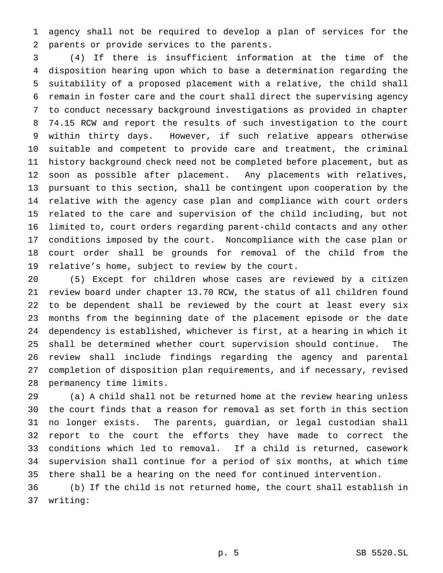agency shall not be required to develop a plan of services for the parents or provide services to the parents.

 (4) If there is insufficient information at the time of the disposition hearing upon which to base a determination regarding the suitability of a proposed placement with a relative, the child shall remain in foster care and the court shall direct the supervising agency to conduct necessary background investigations as provided in chapter 74.15 RCW and report the results of such investigation to the court within thirty days. However, if such relative appears otherwise suitable and competent to provide care and treatment, the criminal history background check need not be completed before placement, but as soon as possible after placement. Any placements with relatives, pursuant to this section, shall be contingent upon cooperation by the relative with the agency case plan and compliance with court orders related to the care and supervision of the child including, but not limited to, court orders regarding parent-child contacts and any other conditions imposed by the court. Noncompliance with the case plan or court order shall be grounds for removal of the child from the relative's home, subject to review by the court.

 (5) Except for children whose cases are reviewed by a citizen review board under chapter 13.70 RCW, the status of all children found to be dependent shall be reviewed by the court at least every six months from the beginning date of the placement episode or the date dependency is established, whichever is first, at a hearing in which it shall be determined whether court supervision should continue. The review shall include findings regarding the agency and parental completion of disposition plan requirements, and if necessary, revised permanency time limits.

 (a) A child shall not be returned home at the review hearing unless the court finds that a reason for removal as set forth in this section no longer exists. The parents, guardian, or legal custodian shall report to the court the efforts they have made to correct the conditions which led to removal. If a child is returned, casework supervision shall continue for a period of six months, at which time there shall be a hearing on the need for continued intervention.

 (b) If the child is not returned home, the court shall establish in writing: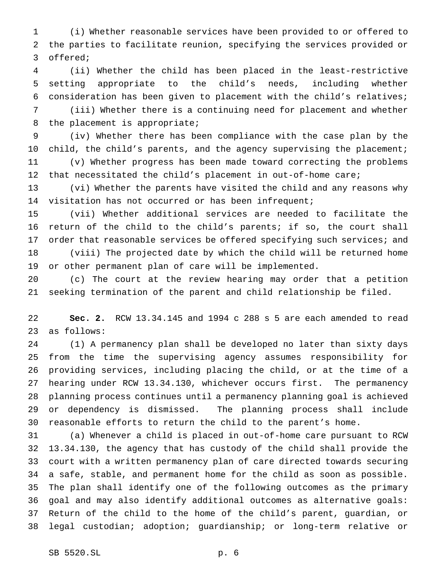(i) Whether reasonable services have been provided to or offered to the parties to facilitate reunion, specifying the services provided or offered;

 (ii) Whether the child has been placed in the least-restrictive setting appropriate to the child's needs, including whether consideration has been given to placement with the child's relatives; (iii) Whether there is a continuing need for placement and whether 8 the placement is appropriate;

 (iv) Whether there has been compliance with the case plan by the 10 child, the child's parents, and the agency supervising the placement; (v) Whether progress has been made toward correcting the problems that necessitated the child's placement in out-of-home care;

 (vi) Whether the parents have visited the child and any reasons why visitation has not occurred or has been infrequent;

 (vii) Whether additional services are needed to facilitate the return of the child to the child's parents; if so, the court shall 17 order that reasonable services be offered specifying such services; and (viii) The projected date by which the child will be returned home or other permanent plan of care will be implemented.

 (c) The court at the review hearing may order that a petition seeking termination of the parent and child relationship be filed.

 **Sec. 2.** RCW 13.34.145 and 1994 c 288 s 5 are each amended to read as follows:

 (1) A permanency plan shall be developed no later than sixty days from the time the supervising agency assumes responsibility for providing services, including placing the child, or at the time of a hearing under RCW 13.34.130, whichever occurs first. The permanency planning process continues until a permanency planning goal is achieved or dependency is dismissed. The planning process shall include reasonable efforts to return the child to the parent's home.

 (a) Whenever a child is placed in out-of-home care pursuant to RCW 13.34.130, the agency that has custody of the child shall provide the court with a written permanency plan of care directed towards securing a safe, stable, and permanent home for the child as soon as possible. The plan shall identify one of the following outcomes as the primary goal and may also identify additional outcomes as alternative goals: Return of the child to the home of the child's parent, guardian, or legal custodian; adoption; guardianship; or long-term relative or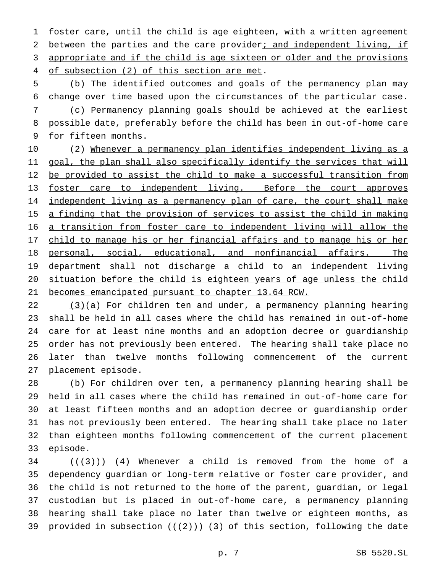foster care, until the child is age eighteen, with a written agreement 2 between the parties and the care provider; and independent living, if 3 appropriate and if the child is age sixteen or older and the provisions 4 of subsection (2) of this section are met.

 (b) The identified outcomes and goals of the permanency plan may change over time based upon the circumstances of the particular case. (c) Permanency planning goals should be achieved at the earliest possible date, preferably before the child has been in out-of-home care for fifteen months.

10 (2) Whenever a permanency plan identifies independent living as a 11 goal, the plan shall also specifically identify the services that will be provided to assist the child to make a successful transition from foster care to independent living. Before the court approves 14 independent living as a permanency plan of care, the court shall make 15 a finding that the provision of services to assist the child in making a transition from foster care to independent living will allow the 17 child to manage his or her financial affairs and to manage his or her personal, social, educational, and nonfinancial affairs. The department shall not discharge a child to an independent living situation before the child is eighteen years of age unless the child becomes emancipated pursuant to chapter 13.64 RCW.

 (3)(a) For children ten and under, a permanency planning hearing shall be held in all cases where the child has remained in out-of-home care for at least nine months and an adoption decree or guardianship order has not previously been entered. The hearing shall take place no later than twelve months following commencement of the current placement episode.

 (b) For children over ten, a permanency planning hearing shall be held in all cases where the child has remained in out-of-home care for at least fifteen months and an adoption decree or guardianship order has not previously been entered. The hearing shall take place no later than eighteen months following commencement of the current placement episode.

 $((+3))$   $(4)$  Whenever a child is removed from the home of a dependency guardian or long-term relative or foster care provider, and the child is not returned to the home of the parent, guardian, or legal custodian but is placed in out-of-home care, a permanency planning hearing shall take place no later than twelve or eighteen months, as 39 provided in subsection  $((+2)^{n})$   $(3)$  of this section, following the date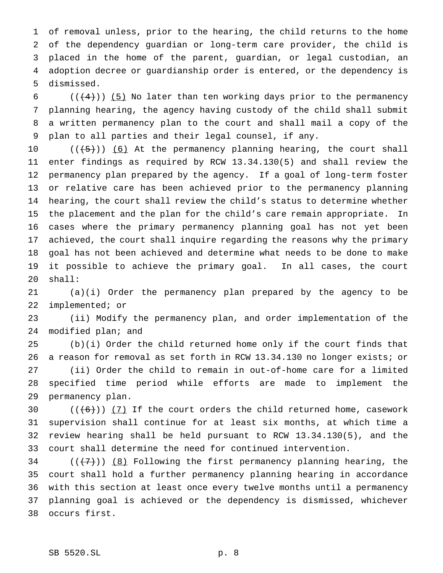of removal unless, prior to the hearing, the child returns to the home of the dependency guardian or long-term care provider, the child is placed in the home of the parent, guardian, or legal custodian, an adoption decree or guardianship order is entered, or the dependency is dismissed.

6 ( $(\frac{4}{3})$ ) (5) No later than ten working days prior to the permanency planning hearing, the agency having custody of the child shall submit a written permanency plan to the court and shall mail a copy of the plan to all parties and their legal counsel, if any.

 $((+5))$   $(6)$  At the permanency planning hearing, the court shall enter findings as required by RCW 13.34.130(5) and shall review the permanency plan prepared by the agency. If a goal of long-term foster or relative care has been achieved prior to the permanency planning hearing, the court shall review the child's status to determine whether the placement and the plan for the child's care remain appropriate. In cases where the primary permanency planning goal has not yet been achieved, the court shall inquire regarding the reasons why the primary goal has not been achieved and determine what needs to be done to make it possible to achieve the primary goal. In all cases, the court shall:

 (a)(i) Order the permanency plan prepared by the agency to be implemented; or

 (ii) Modify the permanency plan, and order implementation of the modified plan; and

 (b)(i) Order the child returned home only if the court finds that a reason for removal as set forth in RCW 13.34.130 no longer exists; or (ii) Order the child to remain in out-of-home care for a limited specified time period while efforts are made to implement the permanency plan.

 $((+6))$   $(7)$  If the court orders the child returned home, casework supervision shall continue for at least six months, at which time a review hearing shall be held pursuant to RCW 13.34.130(5), and the court shall determine the need for continued intervention.

34 ( $(\overline{\{7\}})$  (8) Following the first permanency planning hearing, the court shall hold a further permanency planning hearing in accordance with this section at least once every twelve months until a permanency planning goal is achieved or the dependency is dismissed, whichever occurs first.